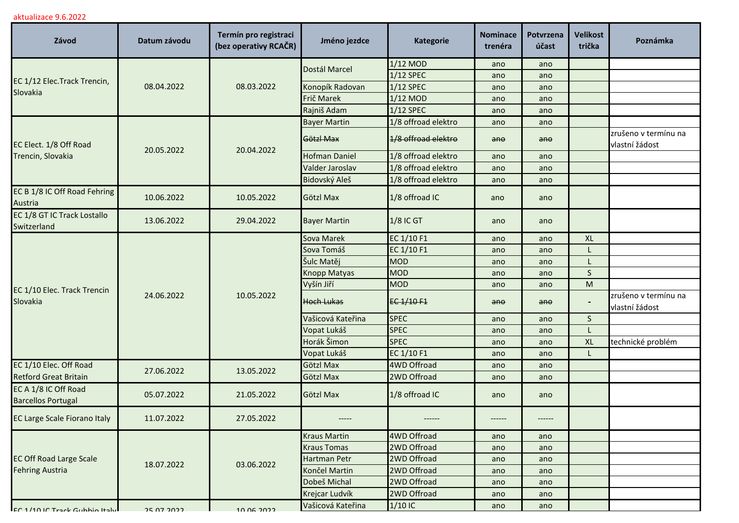## aktualizace 9.6.2022

| Závod                                                    | Datum závodu | Termín pro registraci<br>(bez operativy RCAČR) | Jméno jezdce         | <b>Kategorie</b>    | <b>Nominace</b><br>trenéra | Potvrzena<br>účast | <b>Velikost</b><br>trička | Poznámka                               |
|----------------------------------------------------------|--------------|------------------------------------------------|----------------------|---------------------|----------------------------|--------------------|---------------------------|----------------------------------------|
| EC 1/12 Elec. Track Trencin,<br>Slovakia                 | 08.04.2022   | 08.03.2022                                     | Dostál Marcel        | $1/12$ MOD          | ano                        | ano                |                           |                                        |
|                                                          |              |                                                |                      | 1/12 SPEC           | ano                        | ano                |                           |                                        |
|                                                          |              |                                                | Konopík Radovan      | $1/12$ SPEC         | ano                        | ano                |                           |                                        |
|                                                          |              |                                                | Frič Marek           | 1/12 MOD            | ano                        | ano                |                           |                                        |
|                                                          |              |                                                | Rajniš Adam          | $1/12$ SPEC         | ano                        | ano                |                           |                                        |
| EC Elect. 1/8 Off Road<br>Trencin, Slovakia              | 20.05.2022   | 20.04.2022                                     | <b>Bayer Martin</b>  | 1/8 offroad elektro | ano                        | ano                |                           |                                        |
|                                                          |              |                                                | Götzl Max            | 1/8 offroad elektro | $an\theta$                 | ano                |                           | zrušeno v termínu na<br>vlastní žádost |
|                                                          |              |                                                | <b>Hofman Daniel</b> | 1/8 offroad elektro | ano                        | ano                |                           |                                        |
|                                                          |              |                                                | Valder Jaroslav      | 1/8 offroad elektro | ano                        | ano                |                           |                                        |
|                                                          |              |                                                | Bidovský Aleš        | 1/8 offroad elektro | ano                        | ano                |                           |                                        |
| EC B 1/8 IC Off Road Fehring<br>Austria                  | 10.06.2022   | 10.05.2022                                     | Götzl Max            | 1/8 offroad IC      | ano                        | ano                |                           |                                        |
| EC 1/8 GT IC Track Lostallo<br>Switzerland               | 13.06.2022   | 29.04.2022                                     | <b>Bayer Martin</b>  | <b>1/8 IC GT</b>    | ano                        | ano                |                           |                                        |
|                                                          | 24.06.2022   | 10.05.2022                                     | Sova Marek           | EC 1/10 F1          | ano                        | ano                | <b>XL</b>                 |                                        |
| EC 1/10 Elec. Track Trencin<br>Slovakia                  |              |                                                | Sova Tomáš           | EC 1/10 F1          | ano                        | ano                |                           |                                        |
|                                                          |              |                                                | Šulc Matěj           | <b>MOD</b>          | ano                        | ano                |                           |                                        |
|                                                          |              |                                                | Knopp Matyas         | <b>MOD</b>          | ano                        | ano                | S                         |                                        |
|                                                          |              |                                                | Vyšín Jiří           | <b>MOD</b>          | ano                        | ano                | M                         |                                        |
|                                                          |              |                                                | <b>Hoch Lukas</b>    | EC 1/10 F1          | $a$ n $\theta$             | ano                |                           | zrušeno v termínu na<br>vlastní žádost |
|                                                          |              |                                                | Vašicová Kateřina    | <b>SPEC</b>         | ano                        | ano                | S                         |                                        |
|                                                          |              |                                                | Vopat Lukáš          | <b>SPEC</b>         | ano                        | ano                |                           |                                        |
|                                                          |              |                                                | Horák Šimon          | <b>SPEC</b>         | ano                        | ano                | XL                        | technické problém                      |
|                                                          |              |                                                | Vopat Lukáš          | EC 1/10 F1          | ano                        | ano                |                           |                                        |
| EC 1/10 Elec. Off Road<br><b>Retford Great Britain</b>   | 27.06.2022   | 13.05.2022                                     | Götzl Max            | <b>4WD Offroad</b>  | ano                        | ano                |                           |                                        |
|                                                          |              |                                                | Götzl Max            | 2WD Offroad         | ano                        | ano                |                           |                                        |
| EC A 1/8 IC Off Road<br><b>Barcellos Portugal</b>        | 05.07.2022   | 21.05.2022                                     | Götzl Max            | 1/8 offroad IC      | ano                        | ano                |                           |                                        |
| <b>EC Large Scale Fiorano Italy</b>                      | 11.07.2022   | 27.05.2022                                     |                      |                     |                            |                    |                           |                                        |
| <b>EC Off Road Large Scale</b><br><b>Fehring Austria</b> | 18.07.2022   | 03.06.2022                                     | Kraus Martin         | 4WD Offroad         | ano                        | ano                |                           |                                        |
|                                                          |              |                                                | <b>Kraus Tomas</b>   | 2WD Offroad         | ano                        | ano                |                           |                                        |
|                                                          |              |                                                | Hartman Petr         | 2WD Offroad         | ano                        | ano                |                           |                                        |
|                                                          |              |                                                | Končel Martin        | 2WD Offroad         | ano                        | ano                |                           |                                        |
|                                                          |              |                                                | Dobeš Michal         | 2WD Offroad         | ano                        | ano                |                           |                                        |
|                                                          |              |                                                | Krejcar Ludvík       | 2WD Offroad         | ano                        | ano                |                           |                                        |
| FC 1/10 IC Track Gubbio Italy                            | 25 07 2022   | 10.06.2022                                     | Vašicová Kateřina    | $1/10$ IC           | ano                        | ano                |                           |                                        |